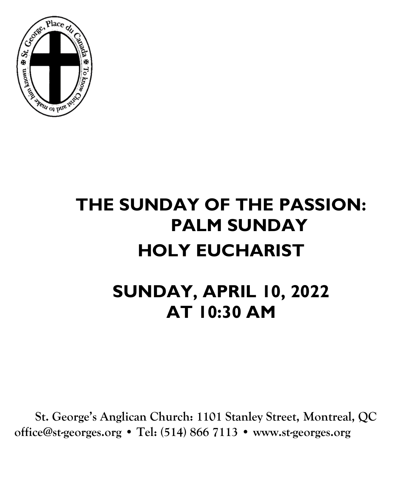

# **THE SUNDAY OF THE PASSION: PALM SUNDAY HOLY EUCHARIST**

# **SUNDAY, APRIL 10, 2022 AT 10:30 AM**

**St. George's Anglican Church: 1101 Stanley Street, Montreal, QC office@st-georges.org • Tel: (514) 866 7113 • www.st-georges.org**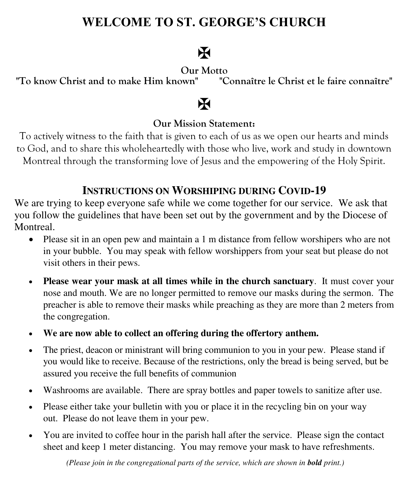# **WELCOME TO ST. GEORGE'S CHURCH**

# K

"To know Christ and to make Him known"

Our Motto<br><sup>2</sup> wn" "Connaître le Christ et le faire connaître"

# X

# **Our Mission Statement:**

To actively witness to the faith that is given to each of us as we open our hearts and minds to God, and to share this wholeheartedly with those who live, work and study in downtown Montreal through the transforming love of Jesus and the empowering of the Holy Spirit.

# **INSTRUCTIONS ON WORSHIPING DURING COVID-19**

We are trying to keep everyone safe while we come together for our service. We ask that you follow the guidelines that have been set out by the government and by the Diocese of Montreal.

- Please sit in an open pew and maintain a 1 m distance from fellow worshipers who are not in your bubble. You may speak with fellow worshippers from your seat but please do not visit others in their pews.
- **Please wear your mask at all times while in the church sanctuary**. It must cover your nose and mouth. We are no longer permitted to remove our masks during the sermon. The preacher is able to remove their masks while preaching as they are more than 2 meters from the congregation.
- **We are now able to collect an offering during the offertory anthem.**
- The priest, deacon or ministrant will bring communion to you in your pew. Please stand if you would like to receive. Because of the restrictions, only the bread is being served, but be assured you receive the full benefits of communion
- Washrooms are available. There are spray bottles and paper towels to sanitize after use.
- Please either take your bulletin with you or place it in the recycling bin on your way out. Please do not leave them in your pew.
- You are invited to coffee hour in the parish hall after the service. Please sign the contact sheet and keep 1 meter distancing. You may remove your mask to have refreshments.

*(Please join in the congregational parts of the service, which are shown in bold print.)*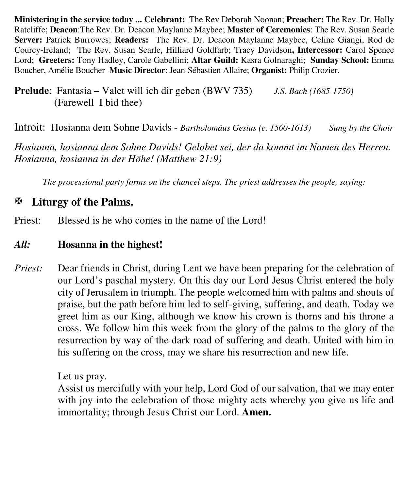**Ministering in the service today ... Celebrant:** The Rev Deborah Noonan; **Preacher:** The Rev. Dr. Holly Ratcliffe; **Deacon**:The Rev. Dr. Deacon Maylanne Maybee; **Master of Ceremonies**: The Rev. Susan Searle **Server:** Patrick Burrowes; **Readers:** The Rev. Dr. Deacon Maylanne Maybee, Celine Giangi, Rod de Courcy-Ireland; The Rev. Susan Searle, Hilliard Goldfarb; Tracy Davidson**, Intercessor:** Carol Spence Lord; **Greeters:** Tony Hadley, Carole Gabellini; **Altar Guild:** Kasra Golnaraghi; **Sunday School:** Emma Boucher, Amélie Boucher **Music Director**: Jean-Sébastien Allaire; **Organist:** Philip Crozier.

**Prelude**: Fantasia – Valet will ich dir geben (BWV 735) *J.S. Bach (1685-1750)* (Farewell I bid thee)

Introit: Hosianna dem Sohne Davids - *Bartholomäus Gesius (c. 1560-1613) Sung by the Choir* 

*Hosianna, hosianna dem Sohne Davids! Gelobet sei, der da kommt im Namen des Herren. Hosianna, hosianna in der Höhe! (Matthew 21:9)* 

*The processional party forms on the chancel steps. The priest addresses the people, saying:* 

#### **Liturgy of the Palms.**

Priest: Blessed is he who comes in the name of the Lord!

#### *All:* **Hosanna in the highest!**

*Priest:* Dear friends in Christ, during Lent we have been preparing for the celebration of our Lord's paschal mystery. On this day our Lord Jesus Christ entered the holy city of Jerusalem in triumph. The people welcomed him with palms and shouts of praise, but the path before him led to self-giving, suffering, and death. Today we greet him as our King, although we know his crown is thorns and his throne a cross. We follow him this week from the glory of the palms to the glory of the resurrection by way of the dark road of suffering and death. United with him in his suffering on the cross, may we share his resurrection and new life.

Let us pray.

 Assist us mercifully with your help, Lord God of our salvation, that we may enter with joy into the celebration of those mighty acts whereby you give us life and immortality; through Jesus Christ our Lord. **Amen.**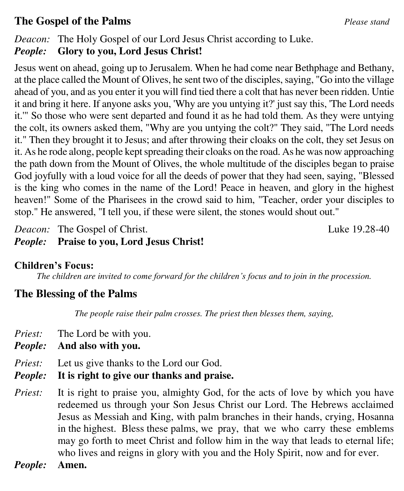# **The Gospel of the Palms** *Please stand*

### *Deacon:* The Holy Gospel of our Lord Jesus Christ according to Luke. *People:* **Glory to you, Lord Jesus Christ!**

Jesus went on ahead, going up to Jerusalem. When he had come near Bethphage and Bethany, at the place called the Mount of Olives, he sent two of the disciples, saying, "Go into the village ahead of you, and as you enter it you will find tied there a colt that has never been ridden. Untie it and bring it here. If anyone asks you, 'Why are you untying it?' just say this, 'The Lord needs it.'" So those who were sent departed and found it as he had told them. As they were untying the colt, its owners asked them, "Why are you untying the colt?" They said, "The Lord needs it." Then they brought it to Jesus; and after throwing their cloaks on the colt, they set Jesus on it. As he rode along, people kept spreading their cloaks on the road. As he was now approaching the path down from the Mount of Olives, the whole multitude of the disciples began to praise God joyfully with a loud voice for all the deeds of power that they had seen, saying, "Blessed is the king who comes in the name of the Lord! Peace in heaven, and glory in the highest heaven!" Some of the Pharisees in the crowd said to him, "Teacher, order your disciples to stop." He answered, "I tell you, if these were silent, the stones would shout out."

*Deacon:* The Gospel of Christ. Luke 19.28-40 *People:* **Praise to you, Lord Jesus Christ!**

### **Children's Focus:**

*The children are invited to come forward for the children's focus and to join in the procession.* 

# **The Blessing of the Palms**

*The people raise their palm crosses. The priest then blesses them, saying,* 

*Priest:* The Lord be with you.

### *People:* **And also with you.**

- *Priest:* Let us give thanks to the Lord our God.
- *People:* **It is right to give our thanks and praise.**
- *Priest:* It is right to praise you, almighty God, for the acts of love by which you have redeemed us through your Son Jesus Christ our Lord. The Hebrews acclaimed Jesus as Messiah and King, with palm branches in their hands, crying, Hosanna in the highest. Bless these palms, we pray, that we who carry these emblems may go forth to meet Christ and follow him in the way that leads to eternal life; who lives and reigns in glory with you and the Holy Spirit, now and for ever.
- *People:* **Amen.**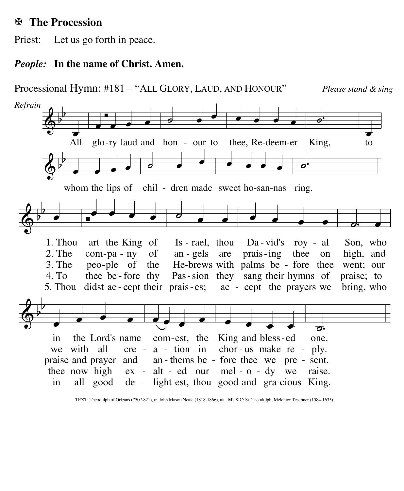#### **The Procession**

Priest: Let us go forth in peace.

#### *People:* **In the name of Christ. Amen.**

Processional Hymn: #181 – "ALL GLORY, LAUD, AND HONOUR" *Please stand & sing* 

All glo-ry laud and hon - our to thee, Re-deem-er King, to  $\clubsuit$ ╞ b O  $\overrightarrow{a}$  ,  $\overrightarrow{b}$  ,  $\overrightarrow{c}$  ,  $\overrightarrow{c}$  $\bullet$   $\bullet$   $\bullet$   $\bullet$   $\bullet$ O whom the lips of chil - dren made sweet ho-san-nas ring.  $\clubsuit$ ╞ b  $\overrightarrow{\cdot}$   $\overrightarrow{\cdot}$   $\overrightarrow{\cdot}$   $\overrightarrow{\cdot}$  $\bullet$   $\bullet$   $\bullet$   $\bullet$   $\bullet$ 5. Thou didst ac - cept their prais - es; ac - cept the prayers we bring, who 4. To thee be-fore thy Pas-sion they sang their hymns of praise; to 3. The peo-ple of the He-brews- with palms be - fore thee went; our 2. The com-pa - ny of an - gels are prais ing thee on high, and 1. Thou art the King of Is-rael, thou Da-vid's roy - al Son, who  $\breve \Phi$  $\frac{1}{2}$  $\frac{1}{2}$  $\frac{1}{\bullet}$  $\overrightarrow{a}$  $\overrightarrow{a}$   $\overrightarrow{b}$   $\overrightarrow{c}$   $\overrightarrow{c}$   $\overrightarrow{c}$   $\overrightarrow{c}$ in all good de - light-est, thou good and gra-cious King. thee now high  $ex - alt - ed$  our mel -  $o - dy$  we raise. praise and prayer and an-thems be - fore thee we pre - sent. we with all  $cre - a - tion$  in chor-us make  $re - ply$ . in the Lord's name com-est, the King and bless- ed one.  $\breve \Phi$  $\frac{1}{2}$  $\frac{1}{2}$  $\overline{\phantom{a}}$  $\overrightarrow{a}$  $\begin{array}{c|c|c|c|c|c|c|c|c} \hline \multicolumn{3}{c|c|}{\multicolumn{3}{c|c|}{\multicolumn{3}{c|c|}{\multicolumn{3}{c}}}} & \multicolumn{3}{c|}{\multicolumn{3}{c|}{\multicolumn{3}{c}}}} & \multicolumn{3}{c|}{\multicolumn{3}{c|}{\multicolumn{3}{c}}}} & \multicolumn{3}{c|}{\multicolumn{3}{c|}{\multicolumn{3}{c}}}} & \multicolumn{3}{c|}{\multicolumn{3}{c|}{\multicolumn{3}{c}}}} & \multicolumn{3}{c|}{\multicolumn{3}{c|}{\multic$ *Refrain* 

TEXT: Theodulph of Orleans (750?-821), tr. John Mason Neale (1818-1866), alt. MUSIC: St. Theodulph; Melchior Teschner (1584-1635)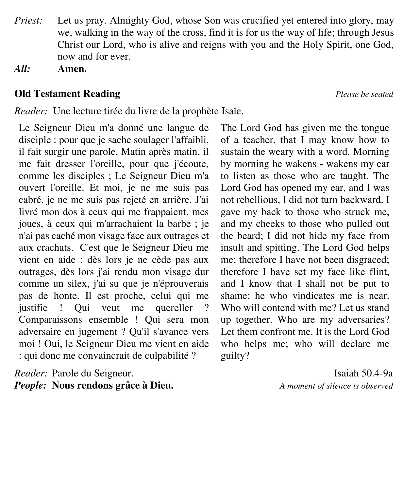- *Priest:* Let us pray. Almighty God, whose Son was crucified yet entered into glory, may we, walking in the way of the cross, find it is for us the way of life; through Jesus Christ our Lord, who is alive and reigns with you and the Holy Spirit, one God, now and for ever.
- *All:* **Amen.**

#### **Old Testament Reading** *Please be seated*

*Reader:* Une lecture tirée du livre de la prophète Isaïe.

Le Seigneur Dieu m'a donné une langue de disciple : pour que je sache soulager l'affaibli, il fait surgir une parole. Matin après matin, il me fait dresser l'oreille, pour que j'écoute, comme les disciples ; Le Seigneur Dieu m'a ouvert l'oreille. Et moi, je ne me suis pas cabré, je ne me suis pas rejeté en arrière. J'ai livré mon dos à ceux qui me frappaient, mes joues, à ceux qui m'arrachaient la barbe ; je n'ai pas caché mon visage face aux outrages et aux crachats. C'est que le Seigneur Dieu me vient en aide : dès lors je ne cède pas aux outrages, dès lors j'ai rendu mon visage dur comme un silex, j'ai su que je n'éprouverais pas de honte. Il est proche, celui qui me justifie ! Qui veut me quereller ? Comparaissons ensemble ! Qui sera mon adversaire en jugement ? Qu'il s'avance vers moi ! Oui, le Seigneur Dieu me vient en aide : qui donc me convaincrait de culpabilité ?

*Reader:* Parole du Seigneur. Isaiah 50.4-9a *People:* **Nous rendons grâce à Dieu.** *A moment of silence is observed*

The Lord God has given me the tongue of a teacher, that I may know how to sustain the weary with a word. Morning by morning he wakens - wakens my ear to listen as those who are taught. The Lord God has opened my ear, and I was not rebellious, I did not turn backward. I gave my back to those who struck me, and my cheeks to those who pulled out the beard; I did not hide my face from insult and spitting. The Lord God helps me; therefore I have not been disgraced; therefore I have set my face like flint, and I know that I shall not be put to shame; he who vindicates me is near. Who will contend with me? Let us stand up together. Who are my adversaries? Let them confront me. It is the Lord God who helps me; who will declare me guilty?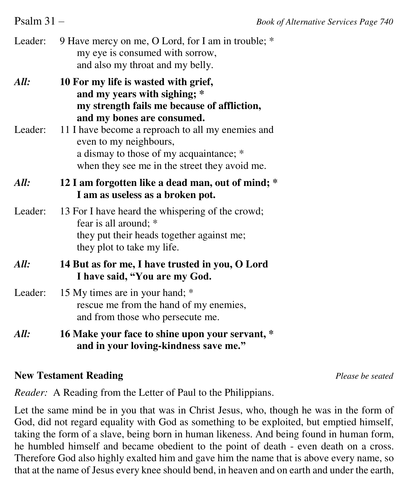| 9 Have mercy on me, O Lord, for I am in trouble; *<br>my eye is consumed with sorrow,<br>and also my throat and my belly.                                               |  |  |
|-------------------------------------------------------------------------------------------------------------------------------------------------------------------------|--|--|
| 10 For my life is wasted with grief,<br>and my years with sighing; *<br>my strength fails me because of affliction,<br>and my bones are consumed.                       |  |  |
| 11 I have become a reproach to all my enemies and<br>even to my neighbours,<br>a dismay to those of my acquaintance; *<br>when they see me in the street they avoid me. |  |  |
| 12 I am forgotten like a dead man, out of mind; *<br>I am as useless as a broken pot.                                                                                   |  |  |
| 13 For I have heard the whispering of the crowd;<br>fear is all around; *<br>they put their heads together against me;<br>they plot to take my life.                    |  |  |
| 14 But as for me, I have trusted in you, O Lord<br>I have said, "You are my God.                                                                                        |  |  |
| 15 My times are in your hand; *<br>rescue me from the hand of my enemies,<br>and from those who persecute me.                                                           |  |  |
| 16 Make your face to shine upon your servant, *<br>and in your loving-kindness save me."                                                                                |  |  |
|                                                                                                                                                                         |  |  |

#### **New Testament Reading** *Please be seated*

*Reader:* A Reading from the Letter of Paul to the Philippians.

Let the same mind be in you that was in Christ Jesus, who, though he was in the form of God, did not regard equality with God as something to be exploited, but emptied himself, taking the form of a slave, being born in human likeness. And being found in human form, he humbled himself and became obedient to the point of death - even death on a cross. Therefore God also highly exalted him and gave him the name that is above every name, so that at the name of Jesus every knee should bend, in heaven and on earth and under the earth,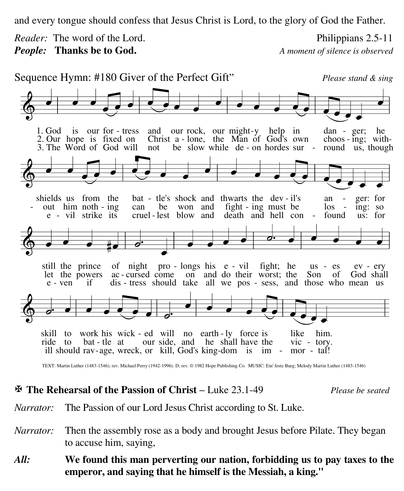and every tongue should confess that Jesus Christ is Lord, to the glory of God the Father.

*Reader:* The word of the Lord. Philippians 2.5-11 *People:* **Thanks be to God.** *A moment of silence is observed*



TEXT: Martin Luther (1483-1546); rev. Michael Perry (1942-1996). D; rev. © 1982 Hope Publishing Co. MUSIC: Ein' feste Burg; Melody Martin Luther (1483-1546)

#### **The Rehearsal of the Passion of Christ –** Luke 23.1-49 *Please be seated*

*Narrator:* The Passion of our Lord Jesus Christ according to St. Luke.

- *Narrator:* Then the assembly rose as a body and brought Jesus before Pilate. They began to accuse him, saying,
- *All:* **We found this man perverting our nation, forbidding us to pay taxes to the emperor, and saying that he himself is the Messiah, a king."**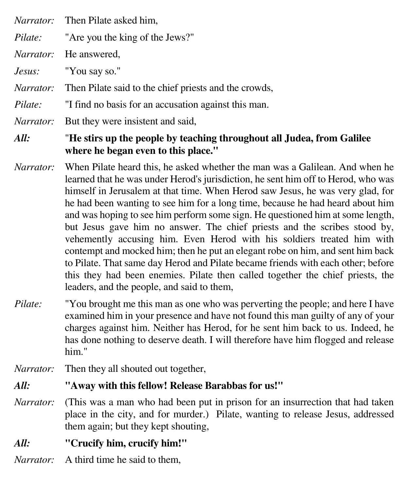*Narrator:* Then Pilate asked him,

*Pilate:* "Are you the king of the Jews?"

*Narrator:* He answered,

*Jesus:* "You say so."

*Narrator:* Then Pilate said to the chief priests and the crowds,

*Pilate:* "I find no basis for an accusation against this man.

*Narrator:* But they were insistent and said,

# *All:* "**He stirs up the people by teaching throughout all Judea, from Galilee where he began even to this place."**

- *Narrator:* When Pilate heard this, he asked whether the man was a Galilean. And when he learned that he was under Herod's jurisdiction, he sent him off to Herod, who was himself in Jerusalem at that time. When Herod saw Jesus, he was very glad, for he had been wanting to see him for a long time, because he had heard about him and was hoping to see him perform some sign. He questioned him at some length, but Jesus gave him no answer. The chief priests and the scribes stood by, vehemently accusing him. Even Herod with his soldiers treated him with contempt and mocked him; then he put an elegant robe on him, and sent him back to Pilate. That same day Herod and Pilate became friends with each other; before this they had been enemies. Pilate then called together the chief priests, the leaders, and the people, and said to them,
- *Pilate:* "You brought me this man as one who was perverting the people; and here I have examined him in your presence and have not found this man guilty of any of your charges against him. Neither has Herod, for he sent him back to us. Indeed, he has done nothing to deserve death. I will therefore have him flogged and release him."

*Narrator:* Then they all shouted out together,

### *All:* **"Away with this fellow! Release Barabbas for us!"**

*Narrator:* (This was a man who had been put in prison for an insurrection that had taken place in the city, and for murder.) Pilate, wanting to release Jesus, addressed them again; but they kept shouting,

# *All:* **"Crucify him, crucify him!"**

*Narrator:* A third time he said to them,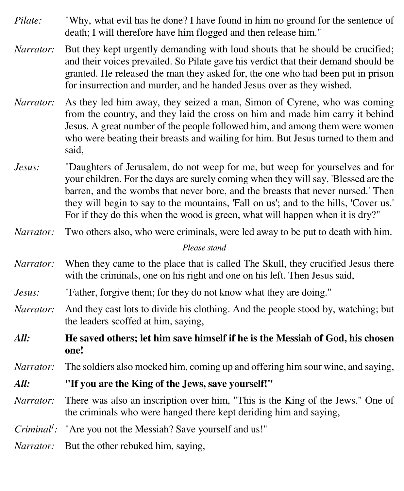- *Pilate:* "Why, what evil has he done? I have found in him no ground for the sentence of death; I will therefore have him flogged and then release him."
- *Narrator*: But they kept urgently demanding with loud shouts that he should be crucified; and their voices prevailed. So Pilate gave his verdict that their demand should be granted. He released the man they asked for, the one who had been put in prison for insurrection and murder, and he handed Jesus over as they wished.
- *Narrator:* As they led him away, they seized a man, Simon of Cyrene, who was coming from the country, and they laid the cross on him and made him carry it behind Jesus. A great number of the people followed him, and among them were women who were beating their breasts and wailing for him. But Jesus turned to them and said,
- *Jesus:* "Daughters of Jerusalem, do not weep for me, but weep for yourselves and for your children. For the days are surely coming when they will say, 'Blessed are the barren, and the wombs that never bore, and the breasts that never nursed.' Then they will begin to say to the mountains, 'Fall on us'; and to the hills, 'Cover us.' For if they do this when the wood is green, what will happen when it is dry?"
- *Narrator:* Two others also, who were criminals, were led away to be put to death with him.

#### *Please stand*

- *Narrator:* When they came to the place that is called The Skull, they crucified Jesus there with the criminals, one on his right and one on his left. Then Jesus said,
- *Jesus:* "Father, forgive them; for they do not know what they are doing."
- *Narrator:* And they cast lots to divide his clothing. And the people stood by, watching; but the leaders scoffed at him, saying,
- *All:* **He saved others; let him save himself if he is the Messiah of God, his chosen one!**

*Narrator:* The soldiers also mocked him, coming up and offering him sour wine, and saying,

- *All:* **"If you are the King of the Jews, save yourself!"**
- *Narrator:* There was also an inscription over him, "This is the King of the Jews." One of the criminals who were hanged there kept deriding him and saying,
- *Criminal<sup>1</sup> :* "Are you not the Messiah? Save yourself and us!"
- *Narrator:* But the other rebuked him, saying,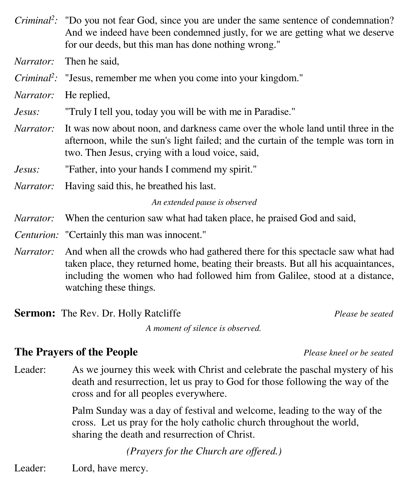*Criminal<sup>2</sup> :* "Do you not fear God, since you are under the same sentence of condemnation? And we indeed have been condemned justly, for we are getting what we deserve for our deeds, but this man has done nothing wrong."

*Narrator:* Then he said,

*Criminal<sup>2</sup> :* "Jesus, remember me when you come into your kingdom."

*Narrator:* He replied,

*Jesus:* "Truly I tell you, today you will be with me in Paradise."

*Narrator:* It was now about noon, and darkness came over the whole land until three in the afternoon, while the sun's light failed; and the curtain of the temple was torn in two. Then Jesus, crying with a loud voice, said,

*Jesus:* "Father, into your hands I commend my spirit."

*Narrator:* Having said this, he breathed his last.

*An extended pause is observed*

- *Narrator:* When the centurion saw what had taken place, he praised God and said,
- *Centurion:* "Certainly this man was innocent."
- *Narrator:* And when all the crowds who had gathered there for this spectacle saw what had taken place, they returned home, beating their breasts. But all his acquaintances, including the women who had followed him from Galilee, stood at a distance, watching these things.

**Sermon:** The Rev. Dr. Holly Ratcliffe *Please be seated* 

*A moment of silence is observed.* 

#### **The Prayers of the People** *Please kneel or be seated*

Leader: As we journey this week with Christ and celebrate the paschal mystery of his death and resurrection, let us pray to God for those following the way of the cross and for all peoples everywhere.

> Palm Sunday was a day of festival and welcome, leading to the way of the cross. Let us pray for the holy catholic church throughout the world, sharing the death and resurrection of Christ.

> > *(Prayers for the Church are offered.)*

Leader: Lord, have mercy.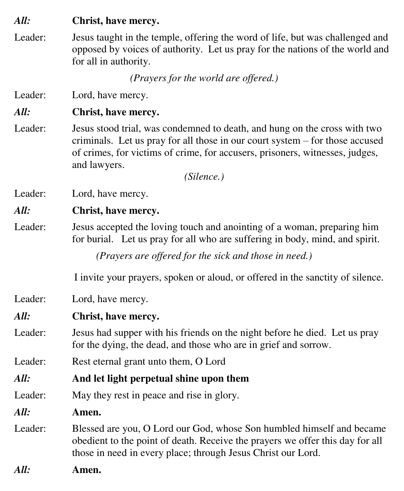# *All:* **Christ, have mercy.**

Leader: Jesus taught in the temple, offering the word of life, but was challenged and opposed by voices of authority. Let us pray for the nations of the world and for all in authority.

*(Prayers for the world are offered.)* 

Leader: Lord, have mercy.

#### *All:* **Christ, have mercy.**

Leader: Jesus stood trial, was condemned to death, and hung on the cross with two criminals. Let us pray for all those in our court system – for those accused of crimes, for victims of crime, for accusers, prisoners, witnesses, judges, and lawyers.

*(Silence.)* 

Leader: Lord, have mercy.

#### *All:* **Christ, have mercy.**

Leader: Jesus accepted the loving touch and anointing of a woman, preparing him for burial. Let us pray for all who are suffering in body, mind, and spirit.

*(Prayers are offered for the sick and those in need.)*

I invite your prayers, spoken or aloud, or offered in the sanctity of silence.

Leader: Lord, have mercy.

- *All:* **Christ, have mercy.**
- Leader: Jesus had supper with his friends on the night before he died. Let us pray for the dying, the dead, and those who are in grief and sorrow.
- Leader: Rest eternal grant unto them, O Lord
- *All:* **And let light perpetual shine upon them**

Leader: May they rest in peace and rise in glory.

#### *All:* **Amen.**

Leader: Blessed are you, O Lord our God, whose Son humbled himself and became obedient to the point of death. Receive the prayers we offer this day for all those in need in every place; through Jesus Christ our Lord.

*All:* **Amen.**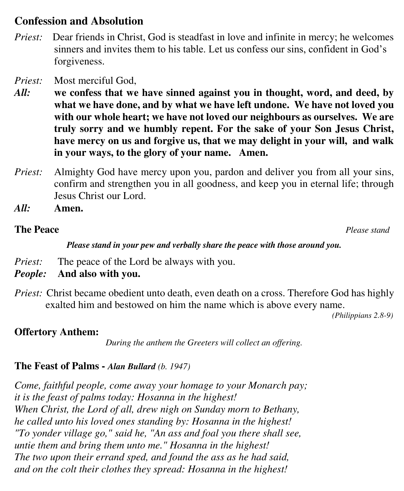# **Confession and Absolution**

- *Priest:* Dear friends in Christ, God is steadfast in love and infinite in mercy; he welcomes sinners and invites them to his table. Let us confess our sins, confident in God's forgiveness.
- *Priest:* Most merciful God,
- *All:* **we confess that we have sinned against you in thought, word, and deed, by what we have done, and by what we have left undone. We have not loved you with our whole heart; we have not loved our neighbours as ourselves. We are truly sorry and we humbly repent. For the sake of your Son Jesus Christ, have mercy on us and forgive us, that we may delight in your will, and walk in your ways, to the glory of your name. Amen.**
- *Priest:* Almighty God have mercy upon you, pardon and deliver you from all your sins, confirm and strengthen you in all goodness, and keep you in eternal life; through Jesus Christ our Lord.
- *All:* **Amen.**

#### **The Peace** *Please stand*

#### *Please stand in your pew and verbally share the peace with those around you.*

*Priest:* The peace of the Lord be always with you.

#### *People:* **And also with you.**

*Priest:* Christ became obedient unto death, even death on a cross. Therefore God has highly exalted him and bestowed on him the name which is above every name.

 *(Philippians 2.8-9)*

#### **Offertory Anthem:**

*During the anthem the Greeters will collect an offering.* 

#### **The Feast of Palms -** *Alan Bullard (b. 1947)*

*Come, faithful people, come away your homage to your Monarch pay; it is the feast of palms today: Hosanna in the highest! When Christ, the Lord of all, drew nigh on Sunday morn to Bethany, he called unto his loved ones standing by: Hosanna in the highest! "To yonder village go," said he, "An ass and foal you there shall see, untie them and bring them unto me." Hosanna in the highest! The two upon their errand sped, and found the ass as he had said, and on the colt their clothes they spread: Hosanna in the highest!*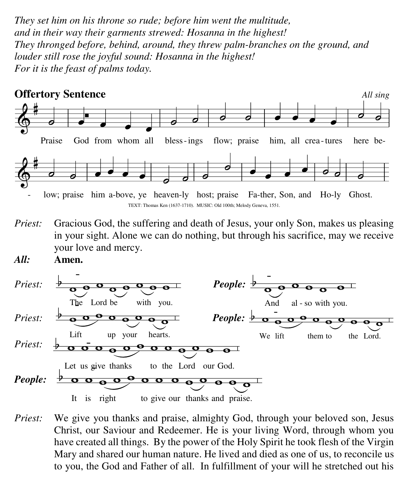*They set him on his throne so rude; before him went the multitude, and in their way their garments strewed: Hosanna in the highest! They thronged before, behind, around, they threw palm-branches on the ground, and louder still rose the joyful sound: Hosanna in the highest! For it is the feast of palms today.*



TEXT: Thomas Ken (1637-1710). MUSIC: Old 100th; Melody Geneva, 1551.

- *Priest:* Gracious God, the suffering and death of Jesus, your only Son, makes us pleasing in your sight. Alone we can do nothing, but through his sacrifice, may we receive your love and mercy.
- *All:* **Amen.**



*Priest:* We give you thanks and praise, almighty God, through your beloved son, Jesus Christ, our Saviour and Redeemer. He is your living Word, through whom you have created all things. By the power of the Holy Spirit he took flesh of the Virgin Mary and shared our human nature. He lived and died as one of us, to reconcile us to you, the God and Father of all. In fulfillment of your will he stretched out his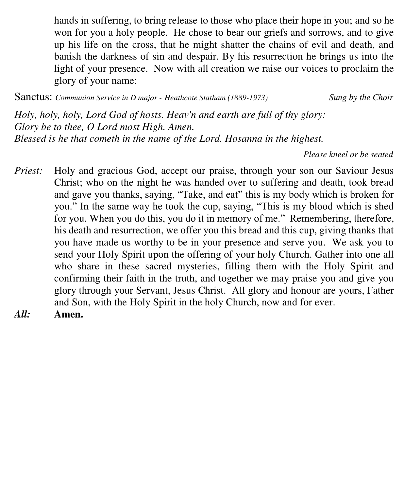hands in suffering, to bring release to those who place their hope in you; and so he won for you a holy people. He chose to bear our griefs and sorrows, and to give up his life on the cross, that he might shatter the chains of evil and death, and banish the darkness of sin and despair. By his resurrection he brings us into the light of your presence. Now with all creation we raise our voices to proclaim the glory of your name:

Sanctus: *Communion Service in D major - Heathcote Statham (1889-1973) Sung by the Choir* 

*Holy, holy, holy, Lord God of hosts. Heav'n and earth are full of thy glory: Glory be to thee, O Lord most High. Amen. Blessed is he that cometh in the name of the Lord. Hosanna in the highest.*

 *Please kneel or be seated*

- *Priest:* Holy and gracious God, accept our praise, through your son our Saviour Jesus Christ; who on the night he was handed over to suffering and death, took bread and gave you thanks, saying, "Take, and eat" this is my body which is broken for you." In the same way he took the cup, saying, "This is my blood which is shed for you. When you do this, you do it in memory of me." Remembering, therefore, his death and resurrection, we offer you this bread and this cup, giving thanks that you have made us worthy to be in your presence and serve you. We ask you to send your Holy Spirit upon the offering of your holy Church. Gather into one all who share in these sacred mysteries, filling them with the Holy Spirit and confirming their faith in the truth, and together we may praise you and give you glory through your Servant, Jesus Christ. All glory and honour are yours, Father and Son, with the Holy Spirit in the holy Church, now and for ever.
- *All:* **Amen.**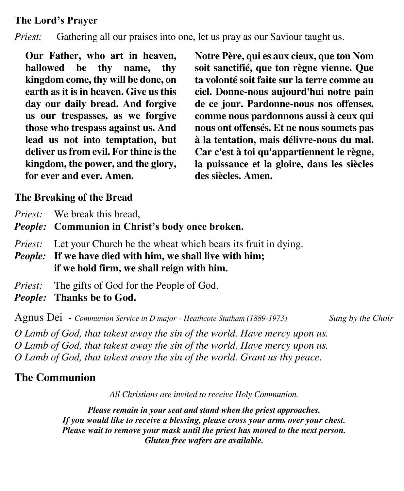#### **The Lord's Prayer**

*Priest:* Gathering all our praises into one, let us pray as our Saviour taught us.

**Our Father, who art in heaven, hallowed be thy name, thy kingdom come, thy will be done, on earth as it is in heaven. Give us this day our daily bread. And forgive us our trespasses, as we forgive those who trespass against us. And lead us not into temptation, but deliver us from evil. For thine is the kingdom, the power, and the glory, for ever and ever. Amen.**

**Notre Père, qui es aux cieux, que ton Nom soit sanctifié, que ton règne vienne. Que ta volonté soit faite sur la terre comme au ciel. Donne-nous aujourd'hui notre pain de ce jour. Pardonne-nous nos offenses, comme nous pardonnons aussi à ceux qui nous ont offensés. Et ne nous soumets pas à la tentation, mais délivre-nous du mal. Car c'est à toi qu'appartiennent le règne, la puissance et la gloire, dans les siècles des siècles. Amen.** 

# **The Breaking of the Bread**

*Priest:* We break this bread,

*People:* **Communion in Christ's body once broken.**

*Priest:* Let your Church be the wheat which bears its fruit in dying.

*People:* **If we have died with him, we shall live with him; if we hold firm, we shall reign with him.** 

*Priest:* The gifts of God for the People of God.

*People:* **Thanks be to God.** 

Agnus Dei **-** *Communion Service in D major - Heathcote Statham (1889-1973) Sung by the Choir* 

*O Lamb of God, that takest away the sin of the world. Have mercy upon us. O Lamb of God, that takest away the sin of the world. Have mercy upon us. O Lamb of God, that takest away the sin of the world. Grant us thy peace.*

# **The Communion**

*All Christians are invited to receive Holy Communion.* 

*Please remain in your seat and stand when the priest approaches. If you would like to receive a blessing, please cross your arms over your chest. Please wait to remove your mask until the priest has moved to the next person. Gluten free wafers are available.*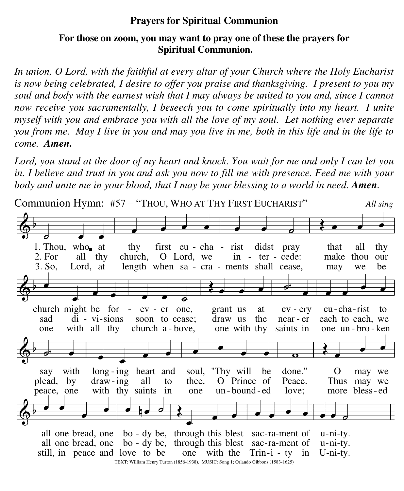#### **Prayers for Spiritual Communion**

#### **For those on zoom, you may want to pray one of these the prayers for Spiritual Communion.**

*In union, O Lord, with the faithful at every altar of your Church where the Holy Eucharist is now being celebrated, I desire to offer you praise and thanksgiving. I present to you my soul and body with the earnest wish that I may always be united to you and, since I cannot now receive you sacramentally, I beseech you to come spiritually into my heart. I unite myself with you and embrace you with all the love of my soul. Let nothing ever separate you from me. May I live in you and may you live in me, both in this life and in the life to come. Amen.* 

*Lord, you stand at the door of my heart and knock. You wait for me and only I can let you in. I believe and trust in you and ask you now to fill me with presence. Feed me with your body and unite me in your blood, that I may be your blessing to a world in need. Amen.* 

3. So, Lord, at length when sa - cra - ments shall cease, may we be 2. For all thy church, O Lord, we in - ter - cede: make thou our 1. Thou, who at thy first eu - cha - rist didst pray that all thy  $\breve \Phi$  $\frac{1}{2}$  $\overrightarrow{a}$   $\frac{1}{2}$ ,  $\frac{1}{2}$ one with all thy church a bove, one with thy saints in one un - bro- ken sad di - vi-sions soon to cease; draw us the near - er each to each, we church might be for -  $ev$  -  $er$  one, grant us at  $ev$  -  $ev$  eu -  $cha$ - rist to  $\breve \Phi$  $\overline{\phantom{a}}$  $\frac{1}{\bullet}$  $\bullet$   $\bullet$   $\bullet$   $\bullet$  $\overline{\mathbf{r}}$  $\overrightarrow{c}$   $\overrightarrow{c}$  $\overline{\phantom{a}}$  $\overline{\phantom{a}}$ peace, one with thy saints in one un-bound-ed love; more bless-ed plead, by draw ing- all to thee, O Prince of Peace. Thus may we say with long-ing heart and soul, "Thy will be done." O may we  $\breve \Phi$  $\frac{1}{2}$  $\theta$   $\theta$  $\overline{\phantom{a}}$  $\overline{\phantom{a}}$  $\overrightarrow{a}$  $\overline{\phantom{0}}$  $\overrightarrow{ }$   $\overrightarrow{ }$   $\overrightarrow{ }$  $\overline{\mathbf{r}}$  $\overline{\phantom{a}}$  $\overline{\phantom{a}}$ still, in peace and love to be one with the Trin-i - ty in U-ni-ty. all one bread, one bo - dy be, through this blest sac-ra-ment of u-ni-ty. all one bread, one bo - dy be, through this blest sac-ra-ment of u-ni-ty.  $\breve \Phi$  $\frac{1}{2}$  $\overline{\phantom{a}}$  $\blacksquare$   $\overline{\phantom{a}}$  $\overline{\phantom{a}}$  $\overrightarrow{a}$ Communion Hymn: #57 – "THOU, WHO AT THY FIRST EUCHARIST" *All sing*  TEXT: William Henry Turton (1856-1938). MUSIC: Song 1; Orlando Gibbons (1583-1625)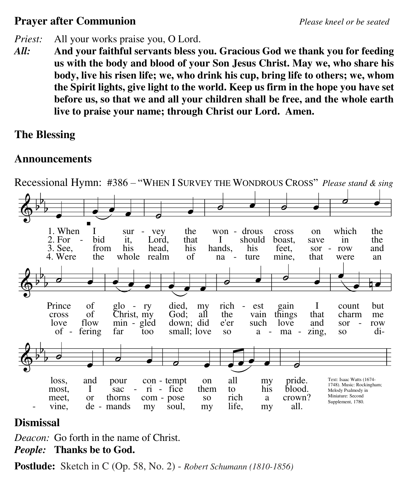# **Prayer after Communion** *Please kneel or be seated*

- *Priest:* All your works praise you, O Lord.
- *All:* **And your faithful servants bless you. Gracious God we thank you for feeding us with the body and blood of your Son Jesus Christ. May we, who share his body, live his risen life; we, who drink his cup, bring life to others; we, whom the Spirit lights, give light to the world. Keep us firm in the hope you have set before us, so that we and all your children shall be free, and the whole earth live to praise your name; through Christ our Lord. Amen.**

# **The Blessing**

### **Announcements**

Recessional Hymn: #386 – "WHEN I SURVEY THE WONDROUS CROSS" *Please stand & sing* 



### **Dismissal**

*Deacon:* Go forth in the name of Christ. *People:* **Thanks be to God.** 

**Postlude:** Sketch in C (Op. 58, No. 2) - *Robert Schumann (1810-1856)*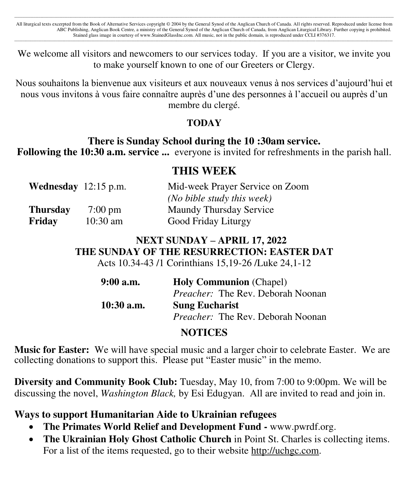**\_\_\_\_\_\_\_\_\_\_\_\_\_\_\_\_\_\_\_\_\_\_\_\_\_\_\_\_\_\_\_\_\_\_\_\_\_\_\_\_\_\_\_\_\_\_\_\_\_\_\_\_\_\_\_\_\_\_\_\_\_\_\_\_\_\_\_\_\_\_\_\_\_\_\_\_\_\_\_\_\_\_\_\_\_\_\_\_\_\_\_\_\_\_\_\_\_\_\_\_\_\_\_\_\_\_\_\_\_\_\_\_\_\_\_\_\_\_\_\_\_\_\_\_\_\_\_\_\_\_\_\_\_\_\_\_\_\_\_\_\_\_\_\_\_\_\_\_\_\_\_\_\_\_\_\_\_\_\_\_\_\_\_\_\_\_\_\_\_\_\_\_\_\_\_\_\_\_\_\_\_\_\_\_\_\_\_\_\_\_\_\_\_\_\_\_\_\_\_\_\_\_\_\_\_\_\_\_\_\_\_\_\_\_\_\_\_\_\_\_\_\_\_\_\_\_\_\_\_\_\_\_\_\_\_\_** All liturgical texts excerpted from the Book of Alternative Services copyright © 2004 by the General Synod of the Anglican Church of Canada. All rights reserved. Reproduced under license from ABC Publishing, Anglican Book Centre, a ministry of the General Synod of the Anglican Church of Canada, from Anglican Liturgical Library. Further copying is prohibited. Stained glass image in courtesy of www.StainedGlassInc.com. All music, not in the public domain, is reproduced under CCLI #376317. **\_\_\_\_\_\_\_\_\_\_\_\_\_\_\_\_\_\_\_\_\_\_\_\_\_\_\_\_\_\_\_\_\_\_\_\_\_\_\_\_\_\_\_\_\_\_\_\_\_\_\_\_\_\_\_\_\_\_\_\_\_\_\_\_\_\_\_\_\_\_\_\_\_\_\_\_\_\_\_\_\_\_\_\_\_\_\_\_\_\_\_\_\_\_\_\_\_\_\_\_\_\_\_\_\_\_\_\_\_\_\_\_\_\_\_\_\_\_\_\_\_\_\_\_\_\_\_\_\_\_\_\_\_\_\_\_\_\_\_\_\_\_\_\_\_\_\_\_\_\_\_\_\_\_\_\_\_\_\_\_\_\_\_\_\_\_\_\_\_\_\_\_\_\_\_\_\_\_\_\_\_\_\_\_\_\_\_\_\_\_\_\_\_\_\_\_\_\_\_\_\_\_\_\_\_\_\_\_\_\_\_\_\_\_\_\_\_\_\_\_\_\_\_\_\_\_\_\_\_\_\_\_\_\_\_\_**

We welcome all visitors and newcomers to our services today. If you are a visitor, we invite you to make yourself known to one of our Greeters or Clergy.

Nous souhaitons la bienvenue aux visiteurs et aux nouveaux venus à nos services d'aujourd'hui et nous vous invitons à vous faire connaître auprès d'une des personnes à l'accueil ou auprès d'un membre du clergé.

#### **TODAY**

#### **There is Sunday School during the 10 :30am service.**

**Following the 10:30 a.m. service ...** everyone is invited for refreshments in the parish hall.

#### **THIS WEEK**

|          | <b>Wednesday</b> $12:15$ p.m. | Mid-week Prayer Service on Zoom     |
|----------|-------------------------------|-------------------------------------|
|          |                               | ( <i>No bible study this week</i> ) |
| Thursday | $7:00 \text{ pm}$             | <b>Maundy Thursday Service</b>      |
| Friday   | $10:30$ am                    | Good Friday Liturgy                 |

# **NEXT SUNDAY – APRIL 17, 2022 THE SUNDAY OF THE RESURRECTION: EASTER DAT**

Acts 10.34-43 /1 Corinthians 15,19-26 /Luke 24,1-12

| $9:00$ a.m.  | <b>Holy Communion</b> (Chapel)           |
|--------------|------------------------------------------|
|              | <i>Preacher:</i> The Rev. Deborah Noonan |
| $10:30$ a.m. | <b>Sung Eucharist</b>                    |
|              | <i>Preacher:</i> The Rev. Deborah Noonan |

#### **NOTICES**

**Music for Easter:** We will have special music and a larger choir to celebrate Easter. We are collecting donations to support this. Please put "Easter music" in the memo.

**Diversity and Community Book Club:** Tuesday, May 10, from 7:00 to 9:00pm. We will be discussing the novel, *Washington Black,* by Esi Edugyan. All are invited to read and join in.

### **Ways to support Humanitarian Aide to Ukrainian refugees**

- **The Primates World Relief and Development Fund** www.pwrdf.org.
- **The Ukrainian Holy Ghost Catholic Church** in Point St. Charles is collecting items. For a list of the items requested, go to their website [http://uchgc.com.](http://uchgc.com/)